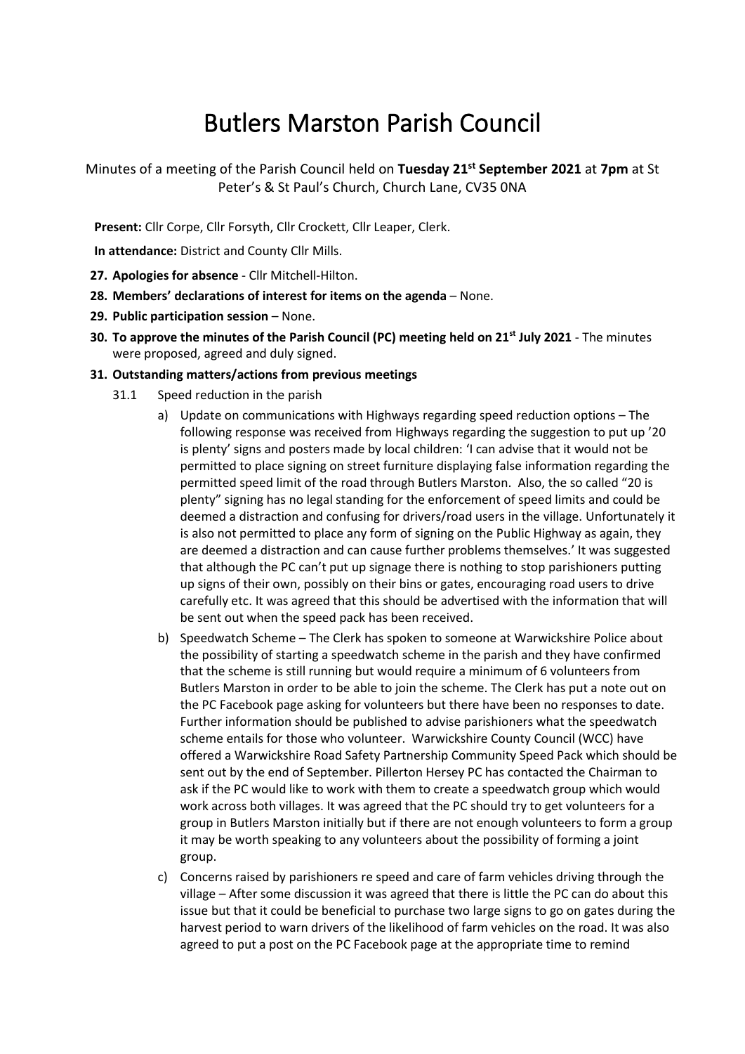## Butlers Marston Parish Council

Minutes of a meeting of the Parish Council held on **Tuesday 21st September 2021** at **7pm** at St Peter's & St Paul's Church, Church Lane, CV35 0NA

**Present:** Cllr Corpe, Cllr Forsyth, Cllr Crockett, Cllr Leaper, Clerk.

**In attendance:** District and County Cllr Mills.

- **27. Apologies for absence** Cllr Mitchell-Hilton.
- **28. Members' declarations of interest for items on the agenda** None.
- **29. Public participation session** None.
- **30. To approve the minutes of the Parish Council (PC) meeting held on 21st July 2021** The minutes were proposed, agreed and duly signed.
- **31. Outstanding matters/actions from previous meetings**
	- 31.1 Speed reduction in the parish
		- a) Update on communications with Highways regarding speed reduction options The following response was received from Highways regarding the suggestion to put up '20 is plenty' signs and posters made by local children: 'I can advise that it would not be permitted to place signing on street furniture displaying false information regarding the permitted speed limit of the road through Butlers Marston. Also, the so called "20 is plenty" signing has no legal standing for the enforcement of speed limits and could be deemed a distraction and confusing for drivers/road users in the village. Unfortunately it is also not permitted to place any form of signing on the Public Highway as again, they are deemed a distraction and can cause further problems themselves.' It was suggested that although the PC can't put up signage there is nothing to stop parishioners putting up signs of their own, possibly on their bins or gates, encouraging road users to drive carefully etc. It was agreed that this should be advertised with the information that will be sent out when the speed pack has been received.
		- b) Speedwatch Scheme The Clerk has spoken to someone at Warwickshire Police about the possibility of starting a speedwatch scheme in the parish and they have confirmed that the scheme is still running but would require a minimum of 6 volunteers from Butlers Marston in order to be able to join the scheme. The Clerk has put a note out on the PC Facebook page asking for volunteers but there have been no responses to date. Further information should be published to advise parishioners what the speedwatch scheme entails for those who volunteer. Warwickshire County Council (WCC) have offered a Warwickshire Road Safety Partnership Community Speed Pack which should be sent out by the end of September. Pillerton Hersey PC has contacted the Chairman to ask if the PC would like to work with them to create a speedwatch group which would work across both villages. It was agreed that the PC should try to get volunteers for a group in Butlers Marston initially but if there are not enough volunteers to form a group it may be worth speaking to any volunteers about the possibility of forming a joint group.
		- c) Concerns raised by parishioners re speed and care of farm vehicles driving through the village – After some discussion it was agreed that there is little the PC can do about this issue but that it could be beneficial to purchase two large signs to go on gates during the harvest period to warn drivers of the likelihood of farm vehicles on the road. It was also agreed to put a post on the PC Facebook page at the appropriate time to remind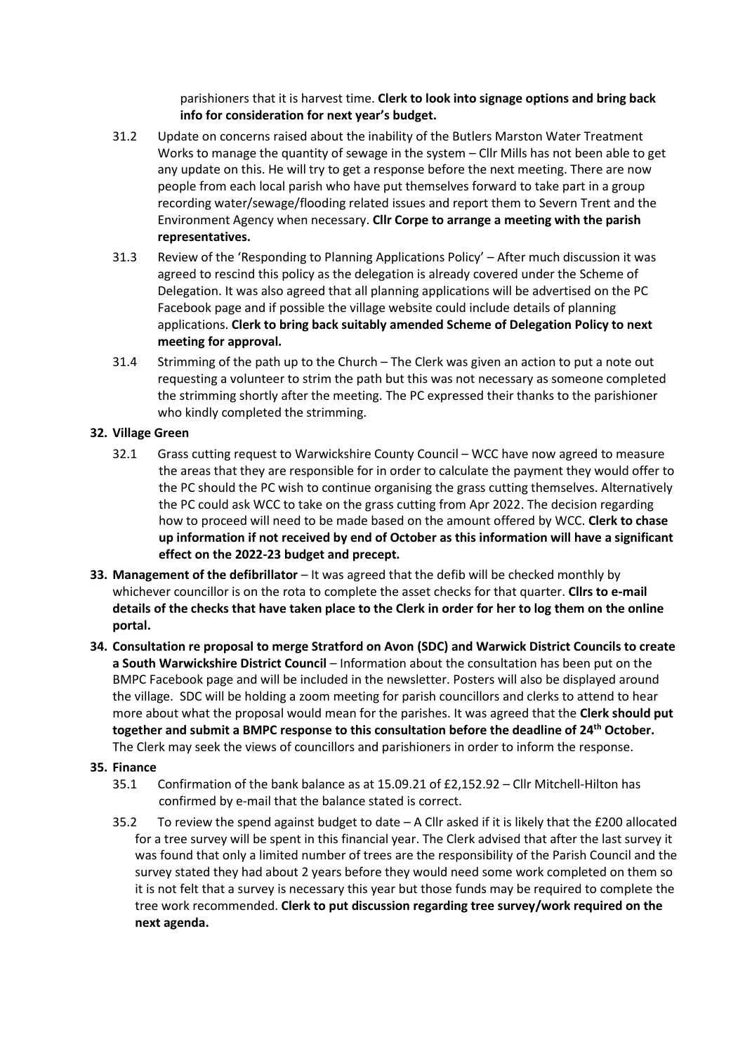parishioners that it is harvest time. **Clerk to look into signage options and bring back info for consideration for next year's budget.**

- 31.2 Update on concerns raised about the inability of the Butlers Marston Water Treatment Works to manage the quantity of sewage in the system – Cllr Mills has not been able to get any update on this. He will try to get a response before the next meeting. There are now people from each local parish who have put themselves forward to take part in a group recording water/sewage/flooding related issues and report them to Severn Trent and the Environment Agency when necessary. **Cllr Corpe to arrange a meeting with the parish representatives.**
- 31.3 Review of the 'Responding to Planning Applications Policy' After much discussion it was agreed to rescind this policy as the delegation is already covered under the Scheme of Delegation. It was also agreed that all planning applications will be advertised on the PC Facebook page and if possible the village website could include details of planning applications. **Clerk to bring back suitably amended Scheme of Delegation Policy to next meeting for approval.**
- 31.4 Strimming of the path up to the Church The Clerk was given an action to put a note out requesting a volunteer to strim the path but this was not necessary as someone completed the strimming shortly after the meeting. The PC expressed their thanks to the parishioner who kindly completed the strimming.

## **32. Village Green**

- 32.1 Grass cutting request to Warwickshire County Council WCC have now agreed to measure the areas that they are responsible for in order to calculate the payment they would offer to the PC should the PC wish to continue organising the grass cutting themselves. Alternatively the PC could ask WCC to take on the grass cutting from Apr 2022. The decision regarding how to proceed will need to be made based on the amount offered by WCC. **Clerk to chase up information if not received by end of October as this information will have a significant effect on the 2022-23 budget and precept.**
- **33. Management of the defibrillator** It was agreed that the defib will be checked monthly by whichever councillor is on the rota to complete the asset checks for that quarter. **Cllrs to e-mail details of the checks that have taken place to the Clerk in order for her to log them on the online portal.**
- **34. Consultation re proposal to merge Stratford on Avon (SDC) and Warwick District Councils to create a South Warwickshire District Council** – Information about the consultation has been put on the BMPC Facebook page and will be included in the newsletter. Posters will also be displayed around the village. SDC will be holding a zoom meeting for parish councillors and clerks to attend to hear more about what the proposal would mean for the parishes. It was agreed that the **Clerk should put together and submit a BMPC response to this consultation before the deadline of 24th October.** The Clerk may seek the views of councillors and parishioners in order to inform the response.
- **35. Finance**
	- 35.1 Confirmation of the bank balance as at 15.09.21 of £2,152.92 Cllr Mitchell-Hilton has confirmed by e-mail that the balance stated is correct.
	- 35.2 To review the spend against budget to date A Cllr asked if it is likely that the £200 allocated for a tree survey will be spent in this financial year. The Clerk advised that after the last survey it was found that only a limited number of trees are the responsibility of the Parish Council and the survey stated they had about 2 years before they would need some work completed on them so it is not felt that a survey is necessary this year but those funds may be required to complete the tree work recommended. **Clerk to put discussion regarding tree survey/work required on the next agenda.**